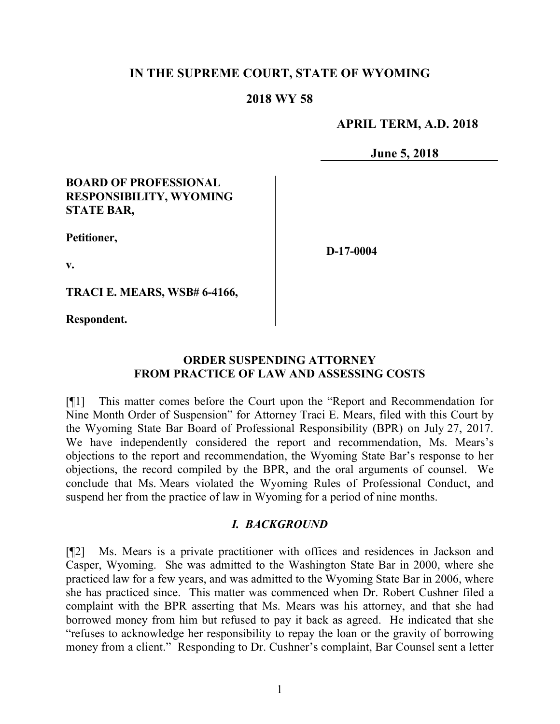### **IN THE SUPREME COURT, STATE OF WYOMING**

#### **2018 WY 58**

#### **APRIL TERM, A.D. 2018**

**June 5, 2018**

#### **BOARD OF PROFESSIONAL RESPONSIBILITY, WYOMING STATE BAR,**

**Petitioner,**

**D-17-0004**

**v.**

**TRACI E. MEARS, WSB# 6-4166,**

**Respondent.**

#### **ORDER SUSPENDING ATTORNEY FROM PRACTICE OF LAW AND ASSESSING COSTS**

[¶1] This matter comes before the Court upon the "Report and Recommendation for Nine Month Order of Suspension" for Attorney Traci E. Mears, filed with this Court by the Wyoming State Bar Board of Professional Responsibility (BPR) on July 27, 2017. We have independently considered the report and recommendation, Ms. Mears's objections to the report and recommendation, the Wyoming State Bar's response to her objections, the record compiled by the BPR, and the oral arguments of counsel. We conclude that Ms. Mears violated the Wyoming Rules of Professional Conduct, and suspend her from the practice of law in Wyoming for a period of nine months.

#### *I. BACKGROUND*

[¶2] Ms. Mears is a private practitioner with offices and residences in Jackson and Casper, Wyoming. She was admitted to the Washington State Bar in 2000, where she practiced law for a few years, and was admitted to the Wyoming State Bar in 2006, where she has practiced since. This matter was commenced when Dr. Robert Cushner filed a complaint with the BPR asserting that Ms. Mears was his attorney, and that she had borrowed money from him but refused to pay it back as agreed. He indicated that she "refuses to acknowledge her responsibility to repay the loan or the gravity of borrowing money from a client." Responding to Dr. Cushner's complaint, Bar Counsel sent a letter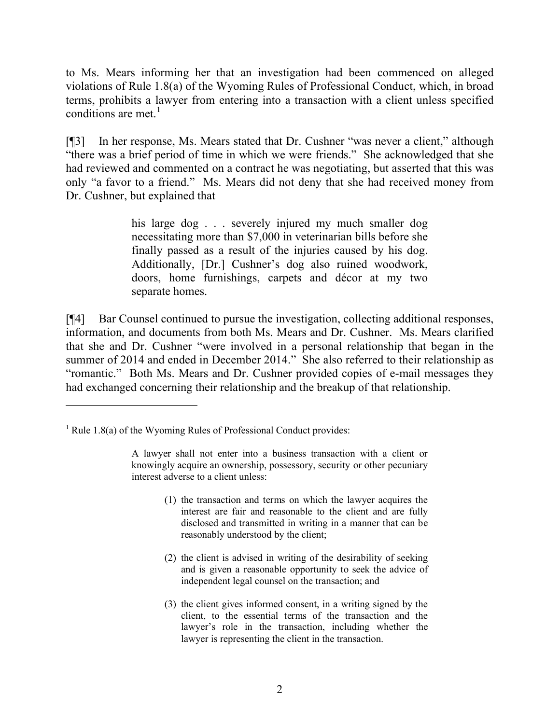to Ms. Mears informing her that an investigation had been commenced on alleged violations of Rule 1.8(a) of the Wyoming Rules of Professional Conduct, which, in broad terms, prohibits a lawyer from entering into a transaction with a client unless specified conditions are met. $<sup>1</sup>$ </sup>

[¶3] In her response, Ms. Mears stated that Dr. Cushner "was never a client," although "there was a brief period of time in which we were friends." She acknowledged that she had reviewed and commented on a contract he was negotiating, but asserted that this was only "a favor to a friend." Ms. Mears did not deny that she had received money from Dr. Cushner, but explained that

> his large dog . . . severely injured my much smaller dog necessitating more than \$7,000 in veterinarian bills before she finally passed as a result of the injuries caused by his dog. Additionally, [Dr.] Cushner's dog also ruined woodwork, doors, home furnishings, carpets and décor at my two separate homes.

[¶4] Bar Counsel continued to pursue the investigation, collecting additional responses, information, and documents from both Ms. Mears and Dr. Cushner. Ms. Mears clarified that she and Dr. Cushner "were involved in a personal relationship that began in the summer of 2014 and ended in December 2014." She also referred to their relationship as "romantic." Both Ms. Mears and Dr. Cushner provided copies of e-mail messages they had exchanged concerning their relationship and the breakup of that relationship.

 $\overline{a}$ 

- (1) the transaction and terms on which the lawyer acquires the interest are fair and reasonable to the client and are fully disclosed and transmitted in writing in a manner that can be reasonably understood by the client;
- (2) the client is advised in writing of the desirability of seeking and is given a reasonable opportunity to seek the advice of independent legal counsel on the transaction; and
- (3) the client gives informed consent, in a writing signed by the client, to the essential terms of the transaction and the lawyer's role in the transaction, including whether the lawyer is representing the client in the transaction.

 $1$  Rule 1.8(a) of the Wyoming Rules of Professional Conduct provides:

A lawyer shall not enter into a business transaction with a client or knowingly acquire an ownership, possessory, security or other pecuniary interest adverse to a client unless: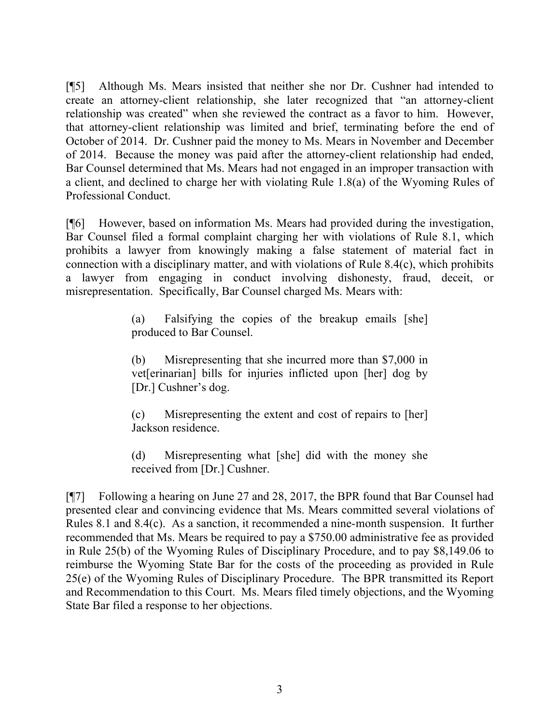[¶5] Although Ms. Mears insisted that neither she nor Dr. Cushner had intended to create an attorney-client relationship, she later recognized that "an attorney-client relationship was created" when she reviewed the contract as a favor to him. However, that attorney-client relationship was limited and brief, terminating before the end of October of 2014. Dr. Cushner paid the money to Ms. Mears in November and December of 2014. Because the money was paid after the attorney-client relationship had ended, Bar Counsel determined that Ms. Mears had not engaged in an improper transaction with a client, and declined to charge her with violating Rule 1.8(a) of the Wyoming Rules of Professional Conduct.

[¶6] However, based on information Ms. Mears had provided during the investigation, Bar Counsel filed a formal complaint charging her with violations of Rule 8.1, which prohibits a lawyer from knowingly making a false statement of material fact in connection with a disciplinary matter, and with violations of Rule 8.4(c), which prohibits a lawyer from engaging in conduct involving dishonesty, fraud, deceit, or misrepresentation. Specifically, Bar Counsel charged Ms. Mears with:

> (a) Falsifying the copies of the breakup emails [she] produced to Bar Counsel.

> (b) Misrepresenting that she incurred more than \$7,000 in vet[erinarian] bills for injuries inflicted upon [her] dog by [Dr.] Cushner's dog.

> (c) Misrepresenting the extent and cost of repairs to [her] Jackson residence.

> (d) Misrepresenting what [she] did with the money she received from [Dr.] Cushner.

[¶7] Following a hearing on June 27 and 28, 2017, the BPR found that Bar Counsel had presented clear and convincing evidence that Ms. Mears committed several violations of Rules 8.1 and 8.4(c). As a sanction, it recommended a nine-month suspension. It further recommended that Ms. Mears be required to pay a \$750.00 administrative fee as provided in Rule 25(b) of the Wyoming Rules of Disciplinary Procedure, and to pay \$8,149.06 to reimburse the Wyoming State Bar for the costs of the proceeding as provided in Rule 25(e) of the Wyoming Rules of Disciplinary Procedure. The BPR transmitted its Report and Recommendation to this Court. Ms. Mears filed timely objections, and the Wyoming State Bar filed a response to her objections.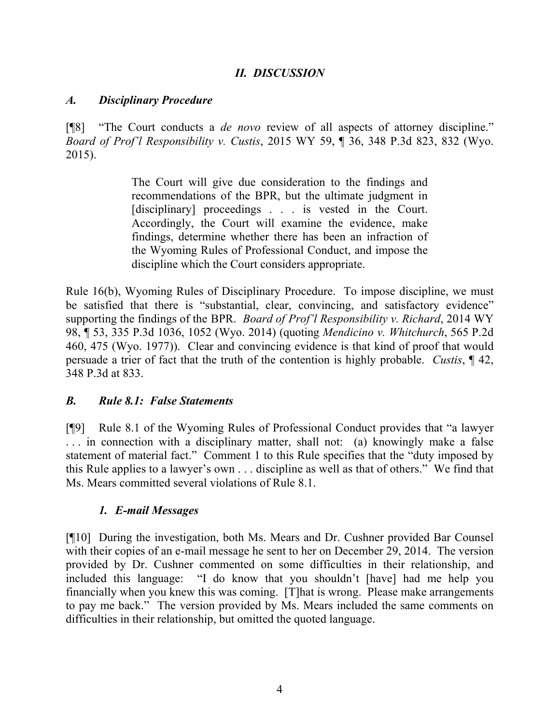# *II. DISCUSSION*

#### *A. Disciplinary Procedure*

[¶8] "The Court conducts a *de novo* review of all aspects of attorney discipline." *Board of Prof'l Responsibility v. Custis*, 2015 WY 59, ¶ 36, 348 P.3d 823, 832 (Wyo. 2015).

> The Court will give due consideration to the findings and recommendations of the BPR, but the ultimate judgment in [disciplinary] proceedings . . . is vested in the Court. Accordingly, the Court will examine the evidence, make findings, determine whether there has been an infraction of the Wyoming Rules of Professional Conduct, and impose the discipline which the Court considers appropriate.

Rule 16(b), Wyoming Rules of Disciplinary Procedure. To impose discipline, we must be satisfied that there is "substantial, clear, convincing, and satisfactory evidence" supporting the findings of the BPR. *Board of Prof'l Responsibility v. Richard*, 2014 WY 98, ¶ 53, 335 P.3d 1036, 1052 (Wyo. 2014) (quoting *Mendicino v. Whitchurch*, 565 P.2d 460, 475 (Wyo. 1977)). Clear and convincing evidence is that kind of proof that would persuade a trier of fact that the truth of the contention is highly probable. *Custis*, ¶ 42, 348 P.3d at 833.

## *B. Rule 8.1: False Statements*

[¶9] Rule 8.1 of the Wyoming Rules of Professional Conduct provides that "a lawyer . . . in connection with a disciplinary matter, shall not: (a) knowingly make a false statement of material fact." Comment 1 to this Rule specifies that the "duty imposed by this Rule applies to a lawyer's own . . . discipline as well as that of others." We find that Ms. Mears committed several violations of Rule 8.1.

## *1. E-mail Messages*

[¶10] During the investigation, both Ms. Mears and Dr. Cushner provided Bar Counsel with their copies of an e-mail message he sent to her on December 29, 2014. The version provided by Dr. Cushner commented on some difficulties in their relationship, and included this language: "I do know that you shouldn't [have] had me help you financially when you knew this was coming. [T]hat is wrong. Please make arrangements to pay me back." The version provided by Ms. Mears included the same comments on difficulties in their relationship, but omitted the quoted language.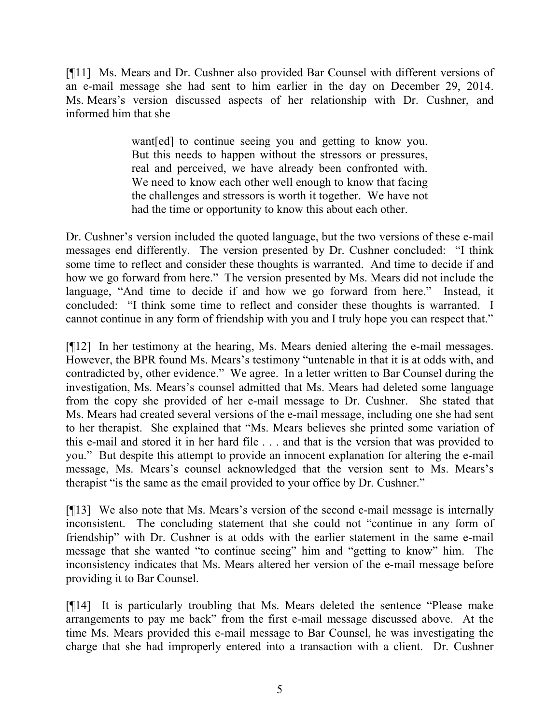[¶11] Ms. Mears and Dr. Cushner also provided Bar Counsel with different versions of an e-mail message she had sent to him earlier in the day on December 29, 2014. Ms. Mears's version discussed aspects of her relationship with Dr. Cushner, and informed him that she

> want[ed] to continue seeing you and getting to know you. But this needs to happen without the stressors or pressures, real and perceived, we have already been confronted with. We need to know each other well enough to know that facing the challenges and stressors is worth it together. We have not had the time or opportunity to know this about each other.

Dr. Cushner's version included the quoted language, but the two versions of these e-mail messages end differently. The version presented by Dr. Cushner concluded: "I think some time to reflect and consider these thoughts is warranted. And time to decide if and how we go forward from here." The version presented by Ms. Mears did not include the language, "And time to decide if and how we go forward from here." Instead, it concluded: "I think some time to reflect and consider these thoughts is warranted. I cannot continue in any form of friendship with you and I truly hope you can respect that."

[¶12] In her testimony at the hearing, Ms. Mears denied altering the e-mail messages. However, the BPR found Ms. Mears's testimony "untenable in that it is at odds with, and contradicted by, other evidence." We agree. In a letter written to Bar Counsel during the investigation, Ms. Mears's counsel admitted that Ms. Mears had deleted some language from the copy she provided of her e-mail message to Dr. Cushner. She stated that Ms. Mears had created several versions of the e-mail message, including one she had sent to her therapist. She explained that "Ms. Mears believes she printed some variation of this e-mail and stored it in her hard file . . . and that is the version that was provided to you." But despite this attempt to provide an innocent explanation for altering the e-mail message, Ms. Mears's counsel acknowledged that the version sent to Ms. Mears's therapist "is the same as the email provided to your office by Dr. Cushner."

[¶13] We also note that Ms. Mears's version of the second e-mail message is internally inconsistent. The concluding statement that she could not "continue in any form of friendship" with Dr. Cushner is at odds with the earlier statement in the same e-mail message that she wanted "to continue seeing" him and "getting to know" him. The inconsistency indicates that Ms. Mears altered her version of the e-mail message before providing it to Bar Counsel.

[¶14] It is particularly troubling that Ms. Mears deleted the sentence "Please make arrangements to pay me back" from the first e-mail message discussed above. At the time Ms. Mears provided this e-mail message to Bar Counsel, he was investigating the charge that she had improperly entered into a transaction with a client. Dr. Cushner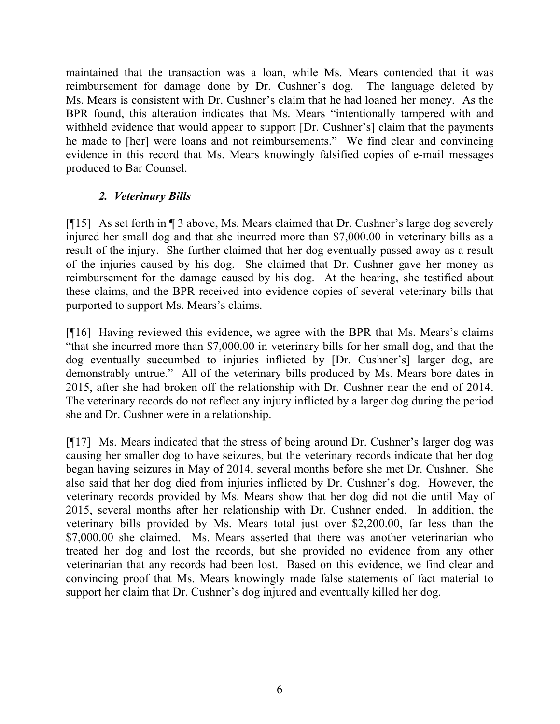maintained that the transaction was a loan, while Ms. Mears contended that it was reimbursement for damage done by Dr. Cushner's dog. The language deleted by Ms. Mears is consistent with Dr. Cushner's claim that he had loaned her money. As the BPR found, this alteration indicates that Ms. Mears "intentionally tampered with and withheld evidence that would appear to support [Dr. Cushner's] claim that the payments he made to [her] were loans and not reimbursements." We find clear and convincing evidence in this record that Ms. Mears knowingly falsified copies of e-mail messages produced to Bar Counsel.

# *2. Veterinary Bills*

[¶15] As set forth in ¶ 3 above, Ms. Mears claimed that Dr. Cushner's large dog severely injured her small dog and that she incurred more than \$7,000.00 in veterinary bills as a result of the injury. She further claimed that her dog eventually passed away as a result of the injuries caused by his dog. She claimed that Dr. Cushner gave her money as reimbursement for the damage caused by his dog. At the hearing, she testified about these claims, and the BPR received into evidence copies of several veterinary bills that purported to support Ms. Mears's claims.

[¶16] Having reviewed this evidence, we agree with the BPR that Ms. Mears's claims "that she incurred more than \$7,000.00 in veterinary bills for her small dog, and that the dog eventually succumbed to injuries inflicted by [Dr. Cushner's] larger dog, are demonstrably untrue." All of the veterinary bills produced by Ms. Mears bore dates in 2015, after she had broken off the relationship with Dr. Cushner near the end of 2014. The veterinary records do not reflect any injury inflicted by a larger dog during the period she and Dr. Cushner were in a relationship.

[¶17] Ms. Mears indicated that the stress of being around Dr. Cushner's larger dog was causing her smaller dog to have seizures, but the veterinary records indicate that her dog began having seizures in May of 2014, several months before she met Dr. Cushner. She also said that her dog died from injuries inflicted by Dr. Cushner's dog. However, the veterinary records provided by Ms. Mears show that her dog did not die until May of 2015, several months after her relationship with Dr. Cushner ended. In addition, the veterinary bills provided by Ms. Mears total just over \$2,200.00, far less than the \$7,000.00 she claimed. Ms. Mears asserted that there was another veterinarian who treated her dog and lost the records, but she provided no evidence from any other veterinarian that any records had been lost. Based on this evidence, we find clear and convincing proof that Ms. Mears knowingly made false statements of fact material to support her claim that Dr. Cushner's dog injured and eventually killed her dog.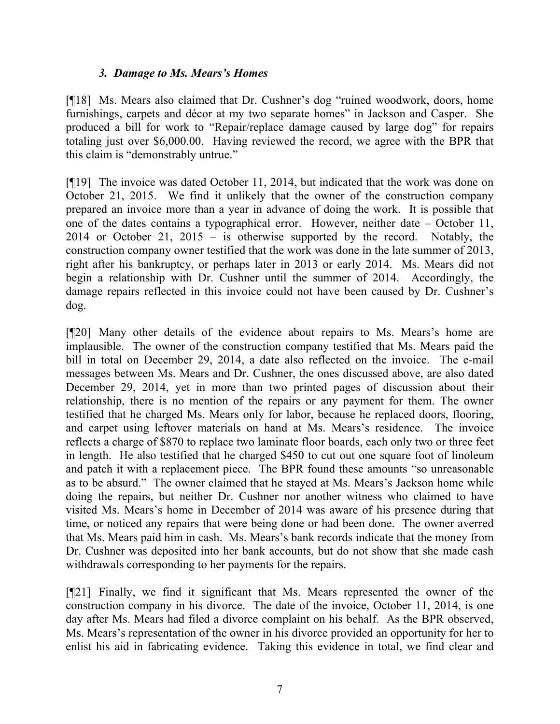### *3. Damage to Ms. Mears's Homes*

[¶18] Ms. Mears also claimed that Dr. Cushner's dog "ruined woodwork, doors, home furnishings, carpets and décor at my two separate homes" in Jackson and Casper. She produced a bill for work to "Repair/replace damage caused by large dog" for repairs totaling just over \$6,000.00. Having reviewed the record, we agree with the BPR that this claim is "demonstrably untrue."

[¶19] The invoice was dated October 11, 2014, but indicated that the work was done on October 21, 2015. We find it unlikely that the owner of the construction company prepared an invoice more than a year in advance of doing the work. It is possible that one of the dates contains a typographical error. However, neither date – October 11, 2014 or October 21, 2015 – is otherwise supported by the record. Notably, the construction company owner testified that the work was done in the late summer of 2013, right after his bankruptcy, or perhaps later in 2013 or early 2014. Ms. Mears did not begin a relationship with Dr. Cushner until the summer of 2014. Accordingly, the damage repairs reflected in this invoice could not have been caused by Dr. Cushner's dog.

[¶20] Many other details of the evidence about repairs to Ms. Mears's home are implausible. The owner of the construction company testified that Ms. Mears paid the bill in total on December 29, 2014, a date also reflected on the invoice. The e-mail messages between Ms. Mears and Dr. Cushner, the ones discussed above, are also dated December 29, 2014, yet in more than two printed pages of discussion about their relationship, there is no mention of the repairs or any payment for them. The owner testified that he charged Ms. Mears only for labor, because he replaced doors, flooring, and carpet using leftover materials on hand at Ms. Mears's residence. The invoice reflects a charge of \$870 to replace two laminate floor boards, each only two or three feet in length. He also testified that he charged \$450 to cut out one square foot of linoleum and patch it with a replacement piece. The BPR found these amounts "so unreasonable as to be absurd." The owner claimed that he stayed at Ms. Mears's Jackson home while doing the repairs, but neither Dr. Cushner nor another witness who claimed to have visited Ms. Mears's home in December of 2014 was aware of his presence during that time, or noticed any repairs that were being done or had been done. The owner averred that Ms. Mears paid him in cash. Ms. Mears's bank records indicate that the money from Dr. Cushner was deposited into her bank accounts, but do not show that she made cash withdrawals corresponding to her payments for the repairs.

[¶21] Finally, we find it significant that Ms. Mears represented the owner of the construction company in his divorce. The date of the invoice, October 11, 2014, is one day after Ms. Mears had filed a divorce complaint on his behalf. As the BPR observed, Ms. Mears's representation of the owner in his divorce provided an opportunity for her to enlist his aid in fabricating evidence. Taking this evidence in total, we find clear and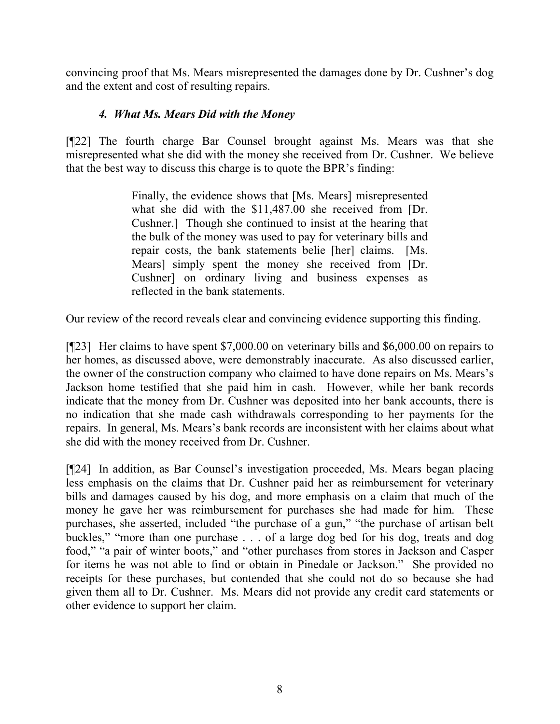convincing proof that Ms. Mears misrepresented the damages done by Dr. Cushner's dog and the extent and cost of resulting repairs.

# *4. What Ms. Mears Did with the Money*

[¶22] The fourth charge Bar Counsel brought against Ms. Mears was that she misrepresented what she did with the money she received from Dr. Cushner. We believe that the best way to discuss this charge is to quote the BPR's finding:

> Finally, the evidence shows that [Ms. Mears] misrepresented what she did with the \$11,487.00 she received from [Dr. Cushner.] Though she continued to insist at the hearing that the bulk of the money was used to pay for veterinary bills and repair costs, the bank statements belie [her] claims. [Ms. Mears] simply spent the money she received from [Dr. Cushner] on ordinary living and business expenses as reflected in the bank statements.

Our review of the record reveals clear and convincing evidence supporting this finding.

[¶23] Her claims to have spent \$7,000.00 on veterinary bills and \$6,000.00 on repairs to her homes, as discussed above, were demonstrably inaccurate. As also discussed earlier, the owner of the construction company who claimed to have done repairs on Ms. Mears's Jackson home testified that she paid him in cash. However, while her bank records indicate that the money from Dr. Cushner was deposited into her bank accounts, there is no indication that she made cash withdrawals corresponding to her payments for the repairs. In general, Ms. Mears's bank records are inconsistent with her claims about what she did with the money received from Dr. Cushner.

[¶24] In addition, as Bar Counsel's investigation proceeded, Ms. Mears began placing less emphasis on the claims that Dr. Cushner paid her as reimbursement for veterinary bills and damages caused by his dog, and more emphasis on a claim that much of the money he gave her was reimbursement for purchases she had made for him. These purchases, she asserted, included "the purchase of a gun," "the purchase of artisan belt buckles," "more than one purchase . . . of a large dog bed for his dog, treats and dog food," "a pair of winter boots," and "other purchases from stores in Jackson and Casper for items he was not able to find or obtain in Pinedale or Jackson." She provided no receipts for these purchases, but contended that she could not do so because she had given them all to Dr. Cushner. Ms. Mears did not provide any credit card statements or other evidence to support her claim.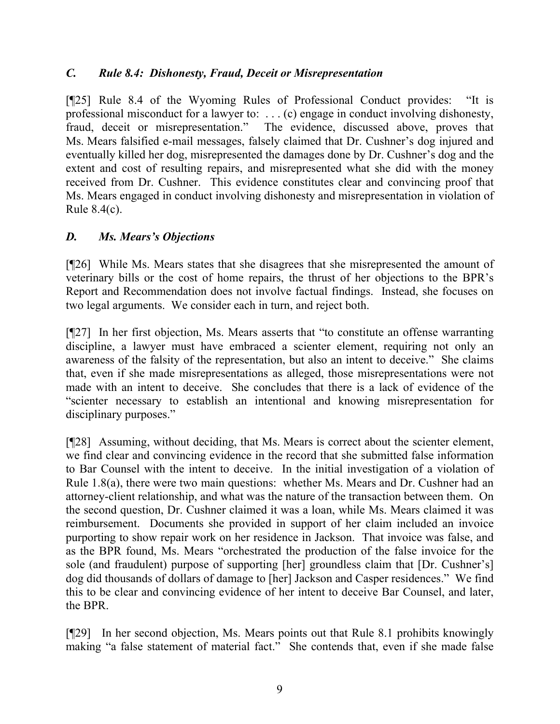## *C. Rule 8.4: Dishonesty, Fraud, Deceit or Misrepresentation*

[¶25] Rule 8.4 of the Wyoming Rules of Professional Conduct provides: "It is professional misconduct for a lawyer to: . . . (c) engage in conduct involving dishonesty, fraud, deceit or misrepresentation." The evidence, discussed above, proves that Ms. Mears falsified e-mail messages, falsely claimed that Dr. Cushner's dog injured and eventually killed her dog, misrepresented the damages done by Dr. Cushner's dog and the extent and cost of resulting repairs, and misrepresented what she did with the money received from Dr. Cushner. This evidence constitutes clear and convincing proof that Ms. Mears engaged in conduct involving dishonesty and misrepresentation in violation of Rule 8.4(c).

## *D. Ms. Mears's Objections*

[¶26] While Ms. Mears states that she disagrees that she misrepresented the amount of veterinary bills or the cost of home repairs, the thrust of her objections to the BPR's Report and Recommendation does not involve factual findings. Instead, she focuses on two legal arguments. We consider each in turn, and reject both.

[¶27] In her first objection, Ms. Mears asserts that "to constitute an offense warranting discipline, a lawyer must have embraced a scienter element, requiring not only an awareness of the falsity of the representation, but also an intent to deceive." She claims that, even if she made misrepresentations as alleged, those misrepresentations were not made with an intent to deceive. She concludes that there is a lack of evidence of the "scienter necessary to establish an intentional and knowing misrepresentation for disciplinary purposes."

[¶28] Assuming, without deciding, that Ms. Mears is correct about the scienter element, we find clear and convincing evidence in the record that she submitted false information to Bar Counsel with the intent to deceive. In the initial investigation of a violation of Rule 1.8(a), there were two main questions: whether Ms. Mears and Dr. Cushner had an attorney-client relationship, and what was the nature of the transaction between them. On the second question, Dr. Cushner claimed it was a loan, while Ms. Mears claimed it was reimbursement. Documents she provided in support of her claim included an invoice purporting to show repair work on her residence in Jackson. That invoice was false, and as the BPR found, Ms. Mears "orchestrated the production of the false invoice for the sole (and fraudulent) purpose of supporting [her] groundless claim that [Dr. Cushner's] dog did thousands of dollars of damage to [her] Jackson and Casper residences." We find this to be clear and convincing evidence of her intent to deceive Bar Counsel, and later, the BPR.

[¶29] In her second objection, Ms. Mears points out that Rule 8.1 prohibits knowingly making "a false statement of material fact." She contends that, even if she made false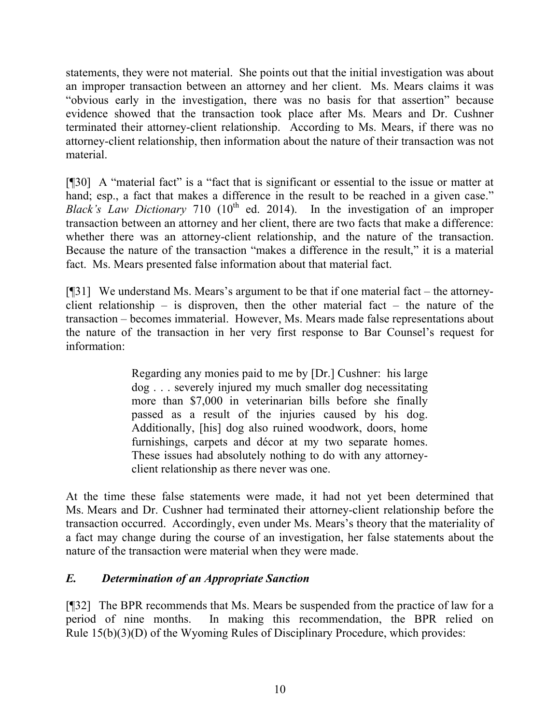statements, they were not material. She points out that the initial investigation was about an improper transaction between an attorney and her client. Ms. Mears claims it was "obvious early in the investigation, there was no basis for that assertion" because evidence showed that the transaction took place after Ms. Mears and Dr. Cushner terminated their attorney-client relationship. According to Ms. Mears, if there was no attorney-client relationship, then information about the nature of their transaction was not material.

[¶30] A "material fact" is a "fact that is significant or essential to the issue or matter at hand; esp., a fact that makes a difference in the result to be reached in a given case." *Black's Law Dictionary* 710 ( $10<sup>th</sup>$  ed. 2014). In the investigation of an improper transaction between an attorney and her client, there are two facts that make a difference: whether there was an attorney-client relationship, and the nature of the transaction. Because the nature of the transaction "makes a difference in the result," it is a material fact. Ms. Mears presented false information about that material fact.

[¶31] We understand Ms. Mears's argument to be that if one material fact – the attorneyclient relationship – is disproven, then the other material fact – the nature of the transaction – becomes immaterial. However, Ms. Mears made false representations about the nature of the transaction in her very first response to Bar Counsel's request for information:

> Regarding any monies paid to me by [Dr.] Cushner: his large dog . . . severely injured my much smaller dog necessitating more than \$7,000 in veterinarian bills before she finally passed as a result of the injuries caused by his dog. Additionally, [his] dog also ruined woodwork, doors, home furnishings, carpets and décor at my two separate homes. These issues had absolutely nothing to do with any attorneyclient relationship as there never was one.

At the time these false statements were made, it had not yet been determined that Ms. Mears and Dr. Cushner had terminated their attorney-client relationship before the transaction occurred. Accordingly, even under Ms. Mears's theory that the materiality of a fact may change during the course of an investigation, her false statements about the nature of the transaction were material when they were made.

## *E. Determination of an Appropriate Sanction*

[¶32] The BPR recommends that Ms. Mears be suspended from the practice of law for a period of nine months. In making this recommendation, the BPR relied on Rule 15(b)(3)(D) of the Wyoming Rules of Disciplinary Procedure, which provides: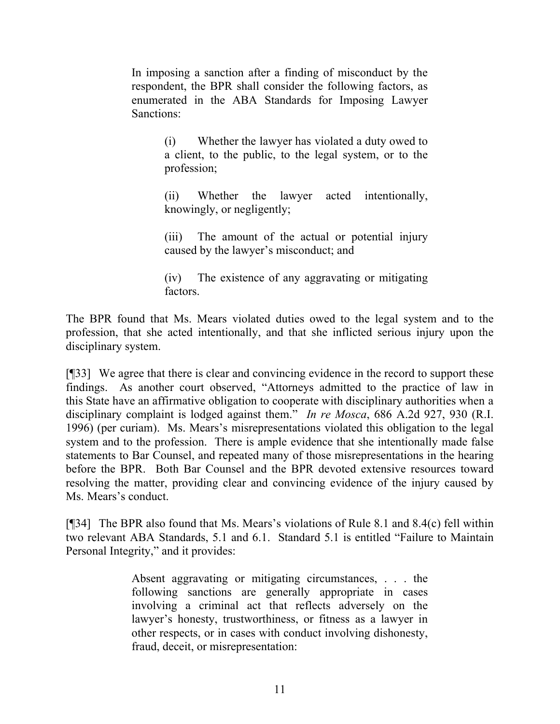In imposing a sanction after a finding of misconduct by the respondent, the BPR shall consider the following factors, as enumerated in the ABA Standards for Imposing Lawyer Sanctions:

> (i) Whether the lawyer has violated a duty owed to a client, to the public, to the legal system, or to the profession;

> (ii) Whether the lawyer acted intentionally, knowingly, or negligently;

> (iii) The amount of the actual or potential injury caused by the lawyer's misconduct; and

> (iv) The existence of any aggravating or mitigating factors.

The BPR found that Ms. Mears violated duties owed to the legal system and to the profession, that she acted intentionally, and that she inflicted serious injury upon the disciplinary system.

[¶33] We agree that there is clear and convincing evidence in the record to support these findings. As another court observed, "Attorneys admitted to the practice of law in this State have an affirmative obligation to cooperate with disciplinary authorities when a disciplinary complaint is lodged against them." *In re Mosca*, 686 A.2d 927, 930 (R.I. 1996) (per curiam). Ms. Mears's misrepresentations violated this obligation to the legal system and to the profession. There is ample evidence that she intentionally made false statements to Bar Counsel, and repeated many of those misrepresentations in the hearing before the BPR. Both Bar Counsel and the BPR devoted extensive resources toward resolving the matter, providing clear and convincing evidence of the injury caused by Ms. Mears's conduct.

[¶34] The BPR also found that Ms. Mears's violations of Rule 8.1 and 8.4(c) fell within two relevant ABA Standards, 5.1 and 6.1. Standard 5.1 is entitled "Failure to Maintain Personal Integrity," and it provides:

> Absent aggravating or mitigating circumstances, . . . the following sanctions are generally appropriate in cases involving a criminal act that reflects adversely on the lawyer's honesty, trustworthiness, or fitness as a lawyer in other respects, or in cases with conduct involving dishonesty, fraud, deceit, or misrepresentation: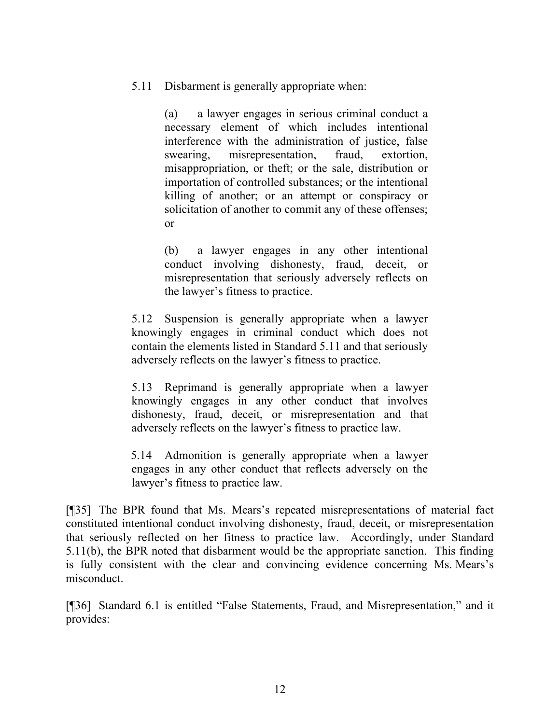5.11 Disbarment is generally appropriate when:

(a) a lawyer engages in serious criminal conduct a necessary element of which includes intentional interference with the administration of justice, false swearing, misrepresentation, fraud, extortion, misappropriation, or theft; or the sale, distribution or importation of controlled substances; or the intentional killing of another; or an attempt or conspiracy or solicitation of another to commit any of these offenses; or

(b) a lawyer engages in any other intentional conduct involving dishonesty, fraud, deceit, or misrepresentation that seriously adversely reflects on the lawyer's fitness to practice.

5.12 Suspension is generally appropriate when a lawyer knowingly engages in criminal conduct which does not contain the elements listed in Standard 5.11 and that seriously adversely reflects on the lawyer's fitness to practice.

5.13 Reprimand is generally appropriate when a lawyer knowingly engages in any other conduct that involves dishonesty, fraud, deceit, or misrepresentation and that adversely reflects on the lawyer's fitness to practice law.

5.14 Admonition is generally appropriate when a lawyer engages in any other conduct that reflects adversely on the lawyer's fitness to practice law.

[¶35] The BPR found that Ms. Mears's repeated misrepresentations of material fact constituted intentional conduct involving dishonesty, fraud, deceit, or misrepresentation that seriously reflected on her fitness to practice law. Accordingly, under Standard 5.11(b), the BPR noted that disbarment would be the appropriate sanction. This finding is fully consistent with the clear and convincing evidence concerning Ms. Mears's misconduct.

[¶36] Standard 6.1 is entitled "False Statements, Fraud, and Misrepresentation," and it provides: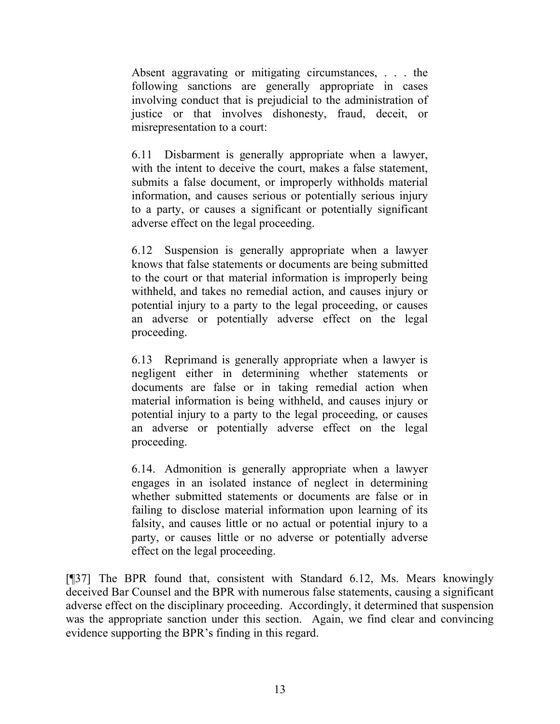Absent aggravating or mitigating circumstances, . . . the following sanctions are generally appropriate in cases involving conduct that is prejudicial to the administration of justice or that involves dishonesty, fraud, deceit, or misrepresentation to a court:

6.11 Disbarment is generally appropriate when a lawyer, with the intent to deceive the court, makes a false statement, submits a false document, or improperly withholds material information, and causes serious or potentially serious injury to a party, or causes a significant or potentially significant adverse effect on the legal proceeding.

6.12 Suspension is generally appropriate when a lawyer knows that false statements or documents are being submitted to the court or that material information is improperly being withheld, and takes no remedial action, and causes injury or potential injury to a party to the legal proceeding, or causes an adverse or potentially adverse effect on the legal proceeding.

6.13 Reprimand is generally appropriate when a lawyer is negligent either in determining whether statements or documents are false or in taking remedial action when material information is being withheld, and causes injury or potential injury to a party to the legal proceeding, or causes an adverse or potentially adverse effect on the legal proceeding.

6.14. Admonition is generally appropriate when a lawyer engages in an isolated instance of neglect in determining whether submitted statements or documents are false or in failing to disclose material information upon learning of its falsity, and causes little or no actual or potential injury to a party, or causes little or no adverse or potentially adverse effect on the legal proceeding.

[¶37] The BPR found that, consistent with Standard 6.12, Ms. Mears knowingly deceived Bar Counsel and the BPR with numerous false statements, causing a significant adverse effect on the disciplinary proceeding. Accordingly, it determined that suspension was the appropriate sanction under this section. Again, we find clear and convincing evidence supporting the BPR's finding in this regard.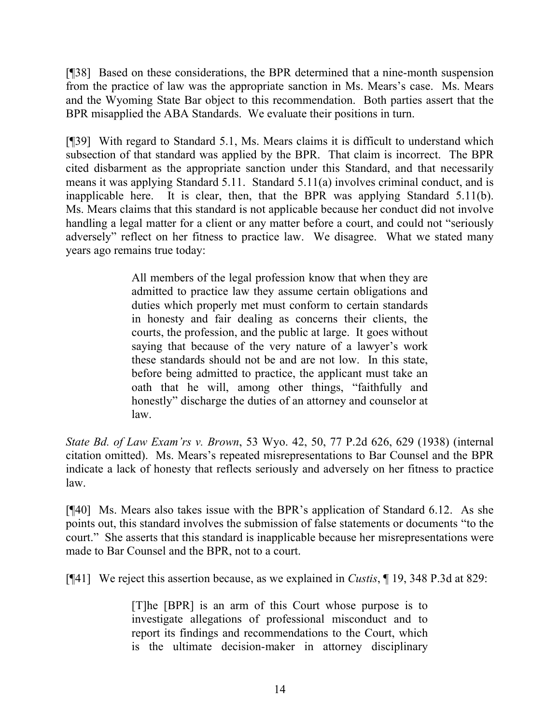[¶38] Based on these considerations, the BPR determined that a nine-month suspension from the practice of law was the appropriate sanction in Ms. Mears's case. Ms. Mears and the Wyoming State Bar object to this recommendation. Both parties assert that the BPR misapplied the ABA Standards. We evaluate their positions in turn.

[¶39] With regard to Standard 5.1, Ms. Mears claims it is difficult to understand which subsection of that standard was applied by the BPR. That claim is incorrect. The BPR cited disbarment as the appropriate sanction under this Standard, and that necessarily means it was applying Standard 5.11. Standard 5.11(a) involves criminal conduct, and is inapplicable here. It is clear, then, that the BPR was applying Standard 5.11(b). Ms. Mears claims that this standard is not applicable because her conduct did not involve handling a legal matter for a client or any matter before a court, and could not "seriously adversely" reflect on her fitness to practice law. We disagree. What we stated many years ago remains true today:

> All members of the legal profession know that when they are admitted to practice law they assume certain obligations and duties which properly met must conform to certain standards in honesty and fair dealing as concerns their clients, the courts, the profession, and the public at large. It goes without saying that because of the very nature of a lawyer's work these standards should not be and are not low. In this state, before being admitted to practice, the applicant must take an oath that he will, among other things, "faithfully and honestly" discharge the duties of an attorney and counselor at law.

*State Bd. of Law Exam'rs v. Brown*, 53 Wyo. 42, 50, 77 P.2d 626, 629 (1938) (internal citation omitted). Ms. Mears's repeated misrepresentations to Bar Counsel and the BPR indicate a lack of honesty that reflects seriously and adversely on her fitness to practice law.

[¶40] Ms. Mears also takes issue with the BPR's application of Standard 6.12. As she points out, this standard involves the submission of false statements or documents "to the court." She asserts that this standard is inapplicable because her misrepresentations were made to Bar Counsel and the BPR, not to a court.

[¶41] We reject this assertion because, as we explained in *Custis*, ¶ 19, 348 P.3d at 829:

[T]he [BPR] is an arm of this Court whose purpose is to investigate allegations of professional misconduct and to report its findings and recommendations to the Court, which is the ultimate decision-maker in attorney disciplinary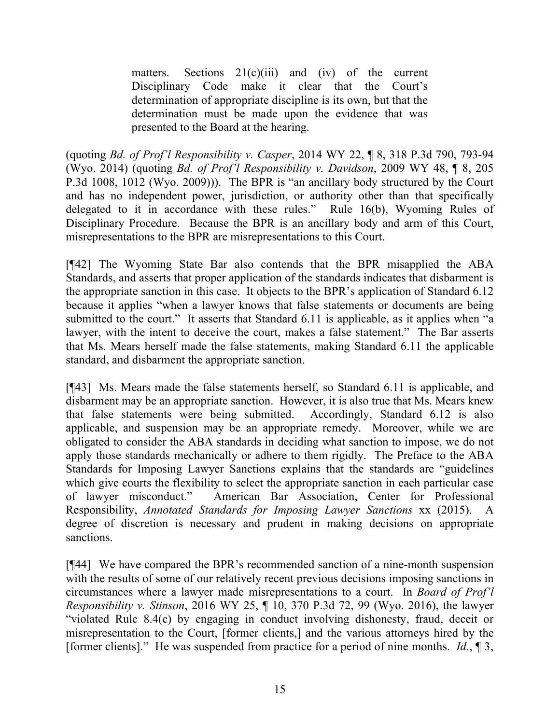matters. Sections  $21(c)(iii)$  and  $(iv)$  of the current Disciplinary Code make it clear that the Court's determination of appropriate discipline is its own, but that the determination must be made upon the evidence that was presented to the Board at the hearing.

(quoting *Bd. of Prof'l Responsibility v. Casper*, 2014 WY 22, ¶ 8, 318 P.3d 790, 793-94 (Wyo. 2014) (quoting *Bd. of Prof'l Responsibility v. Davidson*, 2009 WY 48, ¶ 8, 205 P.3d 1008, 1012 (Wyo. 2009))). The BPR is "an ancillary body structured by the Court and has no independent power, jurisdiction, or authority other than that specifically delegated to it in accordance with these rules." Rule 16(b), Wyoming Rules of Disciplinary Procedure. Because the BPR is an ancillary body and arm of this Court, misrepresentations to the BPR are misrepresentations to this Court.

[¶42] The Wyoming State Bar also contends that the BPR misapplied the ABA Standards, and asserts that proper application of the standards indicates that disbarment is the appropriate sanction in this case. It objects to the BPR's application of Standard 6.12 because it applies "when a lawyer knows that false statements or documents are being submitted to the court." It asserts that Standard 6.11 is applicable, as it applies when "a lawyer, with the intent to deceive the court, makes a false statement." The Bar asserts that Ms. Mears herself made the false statements, making Standard 6.11 the applicable standard, and disbarment the appropriate sanction.

[¶43] Ms. Mears made the false statements herself, so Standard 6.11 is applicable, and disbarment may be an appropriate sanction. However, it is also true that Ms. Mears knew that false statements were being submitted. Accordingly, Standard 6.12 is also applicable, and suspension may be an appropriate remedy. Moreover, while we are obligated to consider the ABA standards in deciding what sanction to impose, we do not apply those standards mechanically or adhere to them rigidly. The Preface to the ABA Standards for Imposing Lawyer Sanctions explains that the standards are "guidelines which give courts the flexibility to select the appropriate sanction in each particular case of lawyer misconduct." American Bar Association, Center for Professional Responsibility, *Annotated Standards for Imposing Lawyer Sanctions* xx (2015). A degree of discretion is necessary and prudent in making decisions on appropriate sanctions.

[¶44] We have compared the BPR's recommended sanction of a nine-month suspension with the results of some of our relatively recent previous decisions imposing sanctions in circumstances where a lawyer made misrepresentations to a court. In *Board of Prof'l Responsibility v. Stinson*, 2016 WY 25, ¶ 10, 370 P.3d 72, 99 (Wyo. 2016), the lawyer "violated Rule 8.4(c) by engaging in conduct involving dishonesty, fraud, deceit or misrepresentation to the Court, [former clients,] and the various attorneys hired by the [former clients]." He was suspended from practice for a period of nine months. *Id.*, ¶ 3,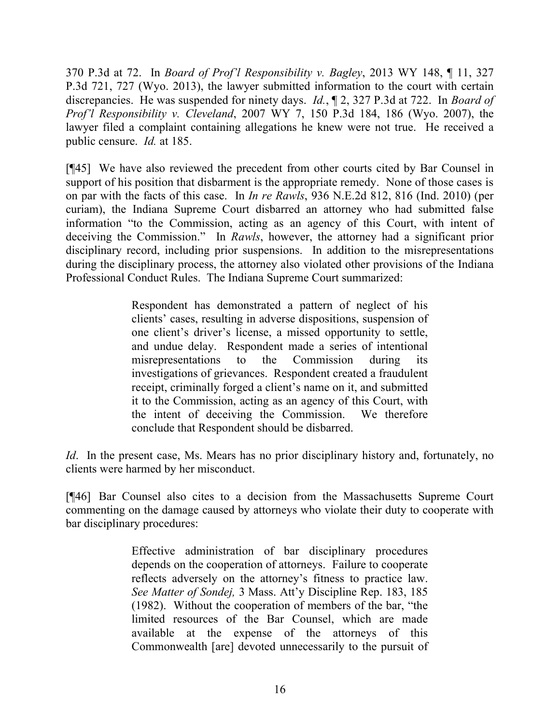370 P.3d at 72. In *Board of Prof'l Responsibility v. Bagley*, 2013 WY 148, ¶ 11, 327 P.3d 721, 727 (Wyo. 2013), the lawyer submitted information to the court with certain discrepancies. He was suspended for ninety days. *Id.*, ¶ 2, 327 P.3d at 722. In *Board of Prof'l Responsibility v. Cleveland*, 2007 WY 7, 150 P.3d 184, 186 (Wyo. 2007), the lawyer filed a complaint containing allegations he knew were not true. He received a public censure. *Id.* at 185.

[¶45] We have also reviewed the precedent from other courts cited by Bar Counsel in support of his position that disbarment is the appropriate remedy. None of those cases is on par with the facts of this case. In *In re Rawls*, 936 N.E.2d 812, 816 (Ind. 2010) (per curiam), the Indiana Supreme Court disbarred an attorney who had submitted false information "to the Commission, acting as an agency of this Court, with intent of deceiving the Commission." In *Rawls*, however, the attorney had a significant prior disciplinary record, including prior suspensions. In addition to the misrepresentations during the disciplinary process, the attorney also violated other provisions of the Indiana Professional Conduct Rules. The Indiana Supreme Court summarized:

> Respondent has demonstrated a pattern of neglect of his clients' cases, resulting in adverse dispositions, suspension of one client's driver's license, a missed opportunity to settle, and undue delay. Respondent made a series of intentional misrepresentations to the Commission during investigations of grievances. Respondent created a fraudulent receipt, criminally forged a client's name on it, and submitted it to the Commission, acting as an agency of this Court, with the intent of deceiving the Commission. We therefore conclude that Respondent should be disbarred.

*Id.* In the present case, Ms. Mears has no prior disciplinary history and, fortunately, no clients were harmed by her misconduct.

[¶46] Bar Counsel also cites to a decision from the Massachusetts Supreme Court commenting on the damage caused by attorneys who violate their duty to cooperate with bar disciplinary procedures:

> Effective administration of bar disciplinary procedures depends on the cooperation of attorneys. Failure to cooperate reflects adversely on the attorney's fitness to practice law. *See Matter of Sondej,* 3 Mass. Att'y Discipline Rep. 183, 185 (1982). Without the cooperation of members of the bar, "the limited resources of the Bar Counsel, which are made available at the expense of the attorneys of this Commonwealth [are] devoted unnecessarily to the pursuit of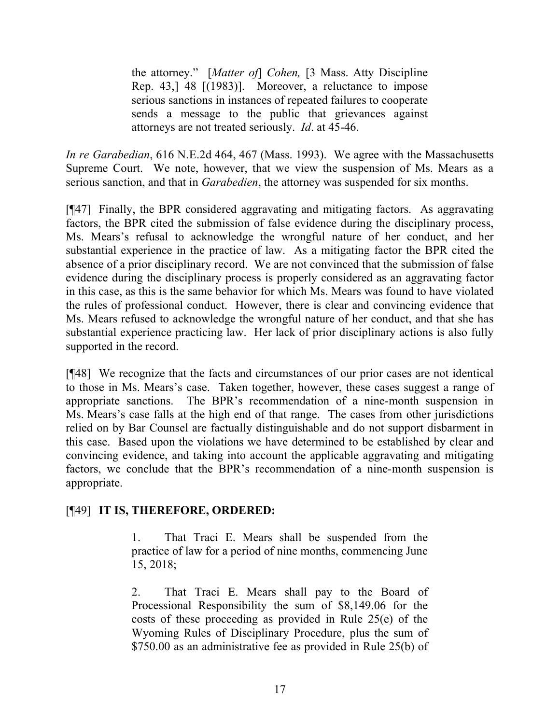the attorney." [*Matter of*] *Cohen,* [3 Mass. Atty Discipline Rep. 43,] 48 [(1983)]. Moreover, a reluctance to impose serious sanctions in instances of repeated failures to cooperate sends a message to the public that grievances against attorneys are not treated seriously. *Id*. at 45-46.

*In re Garabedian*, 616 N.E.2d 464, 467 (Mass. 1993). We agree with the Massachusetts Supreme Court. We note, however, that we view the suspension of Ms. Mears as a serious sanction, and that in *Garabedien*, the attorney was suspended for six months.

[¶47] Finally, the BPR considered aggravating and mitigating factors. As aggravating factors, the BPR cited the submission of false evidence during the disciplinary process, Ms. Mears's refusal to acknowledge the wrongful nature of her conduct, and her substantial experience in the practice of law. As a mitigating factor the BPR cited the absence of a prior disciplinary record. We are not convinced that the submission of false evidence during the disciplinary process is properly considered as an aggravating factor in this case, as this is the same behavior for which Ms. Mears was found to have violated the rules of professional conduct. However, there is clear and convincing evidence that Ms. Mears refused to acknowledge the wrongful nature of her conduct, and that she has substantial experience practicing law. Her lack of prior disciplinary actions is also fully supported in the record.

[¶48] We recognize that the facts and circumstances of our prior cases are not identical to those in Ms. Mears's case. Taken together, however, these cases suggest a range of appropriate sanctions. The BPR's recommendation of a nine-month suspension in Ms. Mears's case falls at the high end of that range. The cases from other jurisdictions relied on by Bar Counsel are factually distinguishable and do not support disbarment in this case. Based upon the violations we have determined to be established by clear and convincing evidence, and taking into account the applicable aggravating and mitigating factors, we conclude that the BPR's recommendation of a nine-month suspension is appropriate.

## [¶49] **IT IS, THEREFORE, ORDERED:**

1. That Traci E. Mears shall be suspended from the practice of law for a period of nine months, commencing June 15, 2018;

2. That Traci E. Mears shall pay to the Board of Processional Responsibility the sum of \$8,149.06 for the costs of these proceeding as provided in Rule 25(e) of the Wyoming Rules of Disciplinary Procedure, plus the sum of \$750.00 as an administrative fee as provided in Rule 25(b) of